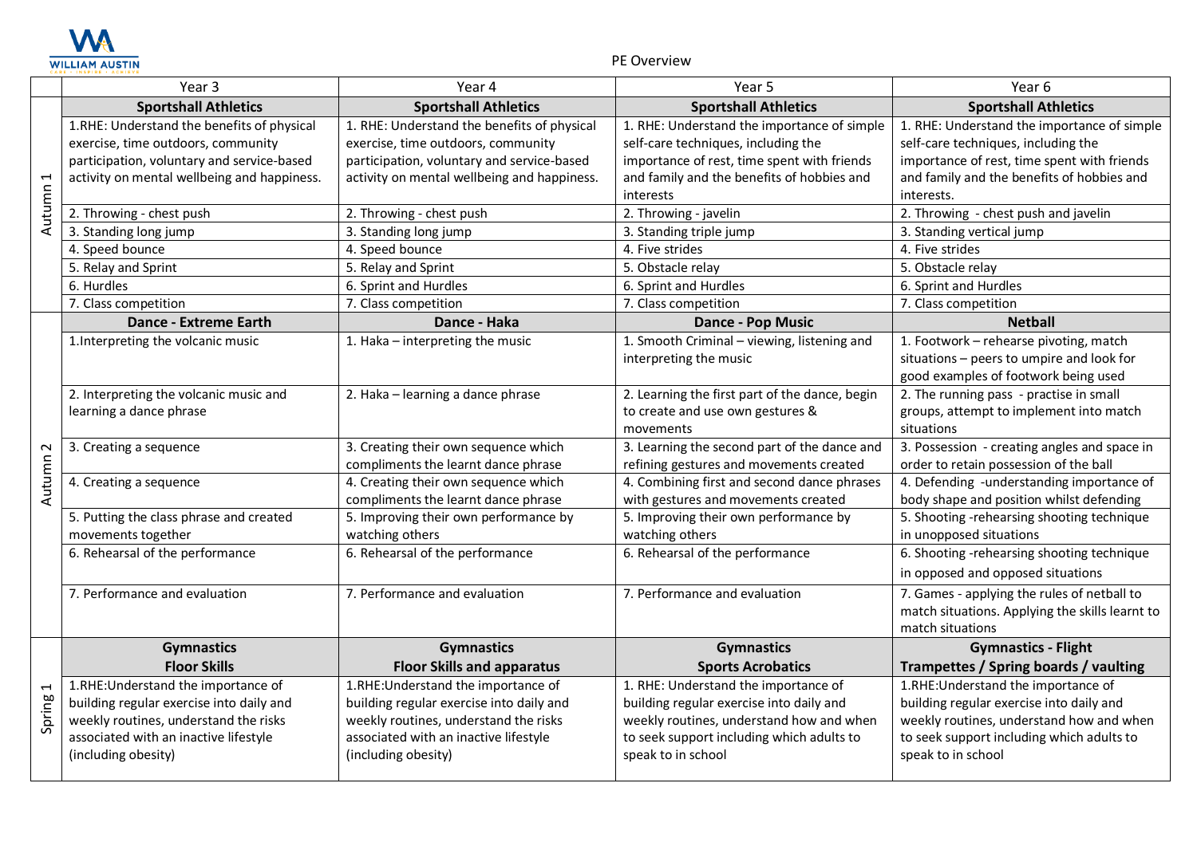

PE Overview

|                          | Year 3                                      | Year 4                                      | Year 5                                         | Year 6                                          |
|--------------------------|---------------------------------------------|---------------------------------------------|------------------------------------------------|-------------------------------------------------|
|                          | <b>Sportshall Athletics</b>                 | <b>Sportshall Athletics</b>                 | <b>Sportshall Athletics</b>                    | <b>Sportshall Athletics</b>                     |
|                          | 1.RHE: Understand the benefits of physical  | 1. RHE: Understand the benefits of physical | 1. RHE: Understand the importance of simple    | 1. RHE: Understand the importance of simple     |
|                          | exercise, time outdoors, community          | exercise, time outdoors, community          | self-care techniques, including the            | self-care techniques, including the             |
|                          | participation, voluntary and service-based  | participation, voluntary and service-based  | importance of rest, time spent with friends    | importance of rest, time spent with friends     |
| $\overline{\phantom{0}}$ | activity on mental wellbeing and happiness. | activity on mental wellbeing and happiness. | and family and the benefits of hobbies and     | and family and the benefits of hobbies and      |
|                          |                                             |                                             | interests                                      | interests.                                      |
| Autumn                   | 2. Throwing - chest push                    | 2. Throwing - chest push                    | 2. Throwing - javelin                          | 2. Throwing - chest push and javelin            |
|                          | 3. Standing long jump                       | 3. Standing long jump                       | 3. Standing triple jump                        | 3. Standing vertical jump                       |
|                          | 4. Speed bounce                             | 4. Speed bounce                             | 4. Five strides                                | 4. Five strides                                 |
|                          | 5. Relay and Sprint                         | 5. Relay and Sprint                         | 5. Obstacle relay                              | 5. Obstacle relay                               |
|                          | 6. Hurdles                                  | 6. Sprint and Hurdles                       | 6. Sprint and Hurdles                          | 6. Sprint and Hurdles                           |
|                          | 7. Class competition                        | 7. Class competition                        | 7. Class competition                           | 7. Class competition                            |
|                          | Dance - Extreme Earth                       | Dance - Haka                                | <b>Dance - Pop Music</b>                       | <b>Netball</b>                                  |
|                          | 1. Interpreting the volcanic music          | 1. Haka - interpreting the music            | 1. Smooth Criminal - viewing, listening and    | 1. Footwork - rehearse pivoting, match          |
|                          |                                             |                                             | interpreting the music                         | situations - peers to umpire and look for       |
|                          |                                             |                                             |                                                | good examples of footwork being used            |
|                          | 2. Interpreting the volcanic music and      | 2. Haka - learning a dance phrase           | 2. Learning the first part of the dance, begin | 2. The running pass - practise in small         |
|                          | learning a dance phrase                     |                                             | to create and use own gestures &               | groups, attempt to implement into match         |
|                          |                                             |                                             | movements                                      | situations                                      |
| $\sim$                   | 3. Creating a sequence                      | 3. Creating their own sequence which        | 3. Learning the second part of the dance and   | 3. Possession - creating angles and space in    |
| Autumn                   |                                             | compliments the learnt dance phrase         | refining gestures and movements created        | order to retain possession of the ball          |
|                          | 4. Creating a sequence                      | 4. Creating their own sequence which        | 4. Combining first and second dance phrases    | 4. Defending -understanding importance of       |
|                          |                                             | compliments the learnt dance phrase         | with gestures and movements created            | body shape and position whilst defending        |
|                          | 5. Putting the class phrase and created     | 5. Improving their own performance by       | 5. Improving their own performance by          | 5. Shooting -rehearsing shooting technique      |
|                          | movements together                          | watching others                             | watching others                                | in unopposed situations                         |
|                          | 6. Rehearsal of the performance             | 6. Rehearsal of the performance             | 6. Rehearsal of the performance                | 6. Shooting -rehearsing shooting technique      |
|                          |                                             |                                             |                                                | in opposed and opposed situations               |
|                          | 7. Performance and evaluation               | 7. Performance and evaluation               | 7. Performance and evaluation                  | 7. Games - applying the rules of netball to     |
|                          |                                             |                                             |                                                | match situations. Applying the skills learnt to |
|                          |                                             |                                             |                                                | match situations                                |
|                          | <b>Gymnastics</b>                           | <b>Gymnastics</b>                           | <b>Gymnastics</b>                              | <b>Gymnastics - Flight</b>                      |
|                          | <b>Floor Skills</b>                         | <b>Floor Skills and apparatus</b>           | <b>Sports Acrobatics</b>                       | Trampettes / Spring boards / vaulting           |
| $\overline{\phantom{0}}$ | 1.RHE: Understand the importance of         | 1.RHE: Understand the importance of         | 1. RHE: Understand the importance of           | 1.RHE: Understand the importance of             |
|                          | building regular exercise into daily and    | building regular exercise into daily and    | building regular exercise into daily and       | building regular exercise into daily and        |
| Spring                   | weekly routines, understand the risks       | weekly routines, understand the risks       | weekly routines, understand how and when       | weekly routines, understand how and when        |
|                          | associated with an inactive lifestyle       | associated with an inactive lifestyle       | to seek support including which adults to      | to seek support including which adults to       |
|                          | (including obesity)                         | (including obesity)                         | speak to in school                             | speak to in school                              |
|                          |                                             |                                             |                                                |                                                 |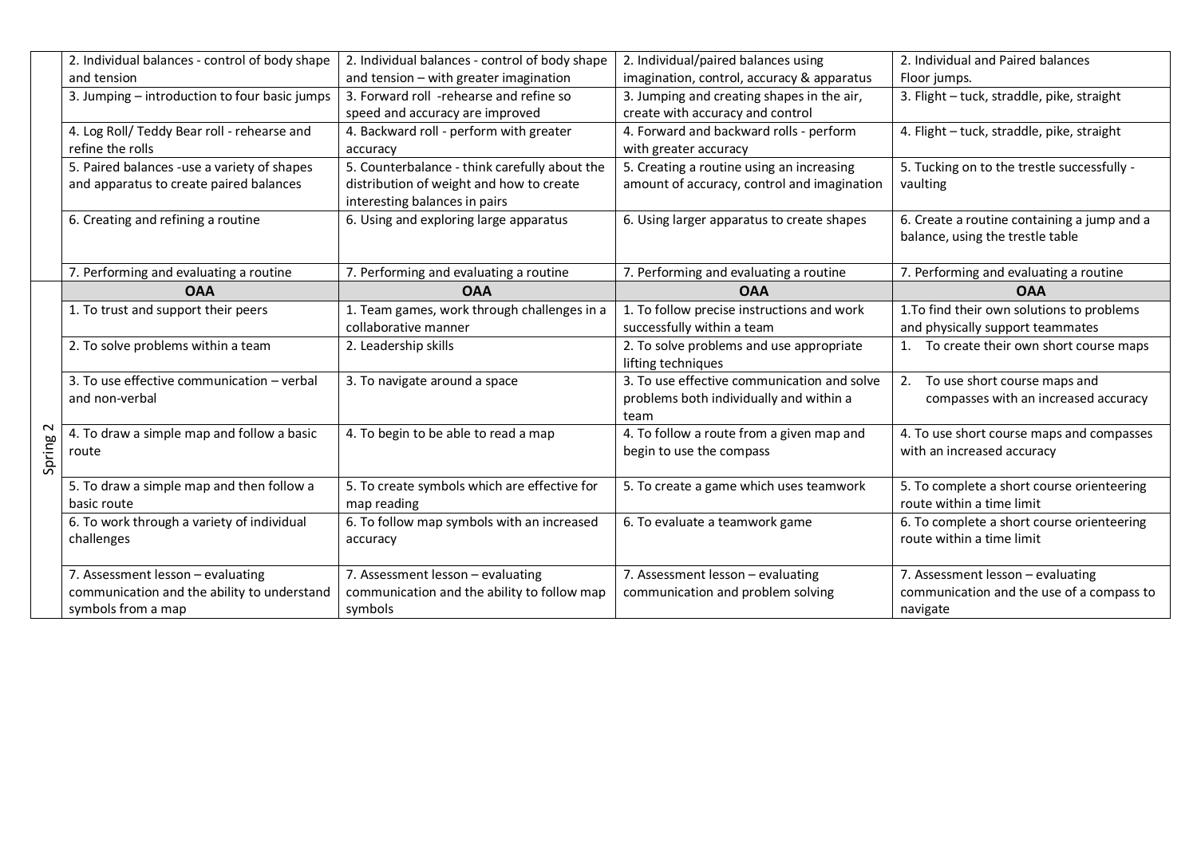|        | 2. Individual balances - control of body shape | 2. Individual balances - control of body shape | 2. Individual/paired balances using         | 2. Individual and Paired balances           |
|--------|------------------------------------------------|------------------------------------------------|---------------------------------------------|---------------------------------------------|
|        | and tension                                    | and tension - with greater imagination         | imagination, control, accuracy & apparatus  | Floor jumps.                                |
|        | 3. Jumping - introduction to four basic jumps  | 3. Forward roll -rehearse and refine so        | 3. Jumping and creating shapes in the air,  | 3. Flight - tuck, straddle, pike, straight  |
|        |                                                | speed and accuracy are improved                | create with accuracy and control            |                                             |
|        | 4. Log Roll/ Teddy Bear roll - rehearse and    | 4. Backward roll - perform with greater        | 4. Forward and backward rolls - perform     | 4. Flight - tuck, straddle, pike, straight  |
|        | refine the rolls                               | accuracy                                       | with greater accuracy                       |                                             |
|        | 5. Paired balances -use a variety of shapes    | 5. Counterbalance - think carefully about the  | 5. Creating a routine using an increasing   | 5. Tucking on to the trestle successfully - |
|        | and apparatus to create paired balances        | distribution of weight and how to create       | amount of accuracy, control and imagination | vaulting                                    |
|        |                                                | interesting balances in pairs                  |                                             |                                             |
|        | 6. Creating and refining a routine             | 6. Using and exploring large apparatus         | 6. Using larger apparatus to create shapes  | 6. Create a routine containing a jump and a |
|        |                                                |                                                |                                             | balance, using the trestle table            |
|        |                                                |                                                |                                             |                                             |
|        | 7. Performing and evaluating a routine         | 7. Performing and evaluating a routine         | 7. Performing and evaluating a routine      | 7. Performing and evaluating a routine      |
|        | <b>OAA</b>                                     | <b>OAA</b>                                     | <b>OAA</b>                                  | <b>OAA</b>                                  |
|        | 1. To trust and support their peers            | 1. Team games, work through challenges in a    | 1. To follow precise instructions and work  | 1. To find their own solutions to problems  |
|        |                                                | collaborative manner                           | successfully within a team                  | and physically support teammates            |
|        | 2. To solve problems within a team             | 2. Leadership skills                           | 2. To solve problems and use appropriate    | To create their own short course maps       |
|        |                                                |                                                | lifting techniques                          |                                             |
|        | 3. To use effective communication - verbal     | 3. To navigate around a space                  | 3. To use effective communication and solve | 2.<br>To use short course maps and          |
|        | and non-verbal                                 |                                                | problems both individually and within a     | compasses with an increased accuracy        |
|        |                                                |                                                | team                                        |                                             |
|        | 4. To draw a simple map and follow a basic     | 4. To begin to be able to read a map           | 4. To follow a route from a given map and   | 4. To use short course maps and compasses   |
|        | route                                          |                                                | begin to use the compass                    | with an increased accuracy                  |
| Spring |                                                |                                                |                                             |                                             |
|        | 5. To draw a simple map and then follow a      | 5. To create symbols which are effective for   | 5. To create a game which uses teamwork     | 5. To complete a short course orienteering  |
|        | basic route                                    | map reading                                    |                                             | route within a time limit                   |
|        | 6. To work through a variety of individual     | 6. To follow map symbols with an increased     | 6. To evaluate a teamwork game              | 6. To complete a short course orienteering  |
|        | challenges                                     | accuracy                                       |                                             | route within a time limit                   |
|        |                                                |                                                |                                             |                                             |
|        | 7. Assessment lesson - evaluating              | 7. Assessment lesson - evaluating              | 7. Assessment lesson - evaluating           | 7. Assessment lesson - evaluating           |
|        |                                                |                                                | communication and problem solving           | communication and the use of a compass to   |
|        | communication and the ability to understand    | communication and the ability to follow map    |                                             |                                             |